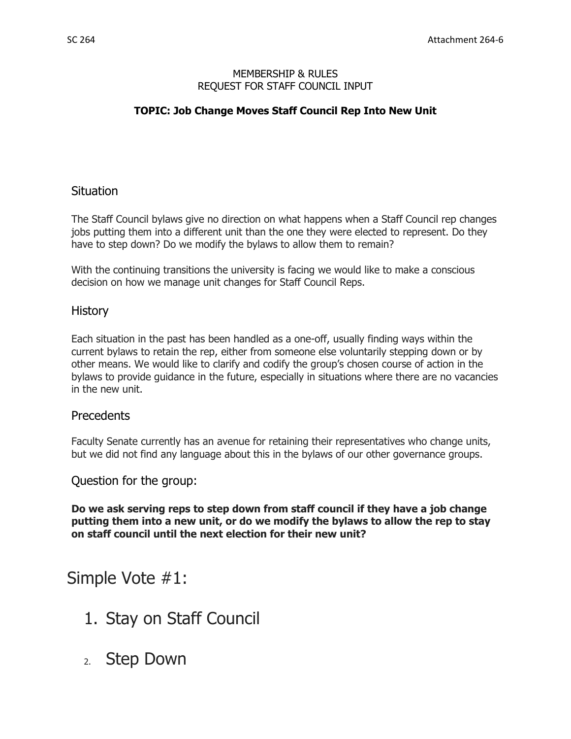### MEMBERSHIP & RULES REQUEST FOR STAFF COUNCIL INPUT

# **TOPIC: Job Change Moves Staff Council Rep Into New Unit**

# **Situation**

The Staff Council bylaws give no direction on what happens when a Staff Council rep changes jobs putting them into a different unit than the one they were elected to represent. Do they have to step down? Do we modify the bylaws to allow them to remain?

With the continuing transitions the university is facing we would like to make a conscious decision on how we manage unit changes for Staff Council Reps.

### History

Each situation in the past has been handled as a one-off, usually finding ways within the current bylaws to retain the rep, either from someone else voluntarily stepping down or by other means. We would like to clarify and codify the group's chosen course of action in the bylaws to provide guidance in the future, especially in situations where there are no vacancies in the new unit.

# **Precedents**

Faculty Senate currently has an avenue for retaining their representatives who change units, but we did not find any language about this in the bylaws of our other governance groups.

Question for the group:

**Do we ask serving reps to step down from staff council if they have a job change putting them into a new unit, or do we modify the bylaws to allow the rep to stay on staff council until the next election for their new unit?**

# Simple Vote #1:

- 1. Stay on Staff Council
- 2. Step Down